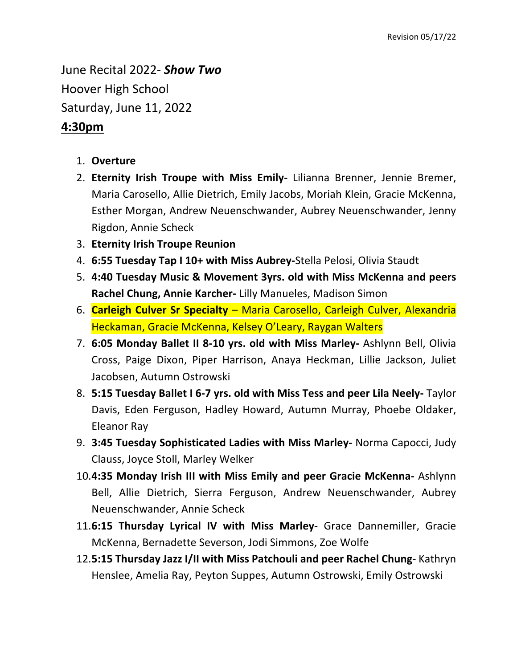June Recital 2022- *Show Two* Hoover High School Saturday, June 11, 2022

## **4:30pm**

- 1. **Overture**
- 2. **Eternity Irish Troupe with Miss Emily-** Lilianna Brenner, Jennie Bremer, Maria Carosello, Allie Dietrich, Emily Jacobs, Moriah Klein, Gracie McKenna, Esther Morgan, Andrew Neuenschwander, Aubrey Neuenschwander, Jenny Rigdon, Annie Scheck
- 3. **Eternity Irish Troupe Reunion**
- 4. **6:55 Tuesday Tap I 10+ with Miss Aubrey-**Stella Pelosi, Olivia Staudt
- 5. **4:40 Tuesday Music & Movement 3yrs. old with Miss McKenna and peers Rachel Chung, Annie Karcher-** Lilly Manueles, Madison Simon
- 6. **Carleigh Culver Sr Specialty**  Maria Carosello, Carleigh Culver, Alexandria Heckaman, Gracie McKenna, Kelsey O'Leary, Raygan Walters
- 7. **6:05 Monday Ballet II 8-10 yrs. old with Miss Marley-** Ashlynn Bell, Olivia Cross, Paige Dixon, Piper Harrison, Anaya Heckman, Lillie Jackson, Juliet Jacobsen, Autumn Ostrowski
- 8. **5:15 Tuesday Ballet I 6-7 yrs. old with Miss Tess and peer Lila Neely-** Taylor Davis, Eden Ferguson, Hadley Howard, Autumn Murray, Phoebe Oldaker, Eleanor Ray
- 9. **3:45 Tuesday Sophisticated Ladies with Miss Marley-** Norma Capocci, Judy Clauss, Joyce Stoll, Marley Welker
- 10.**4:35 Monday Irish III with Miss Emily and peer Gracie McKenna-** Ashlynn Bell, Allie Dietrich, Sierra Ferguson, Andrew Neuenschwander, Aubrey Neuenschwander, Annie Scheck
- 11.**6:15 Thursday Lyrical IV with Miss Marley-** Grace Dannemiller, Gracie McKenna, Bernadette Severson, Jodi Simmons, Zoe Wolfe
- 12.**5:15 Thursday Jazz I/II with Miss Patchouli and peer Rachel Chung-** Kathryn Henslee, Amelia Ray, Peyton Suppes, Autumn Ostrowski, Emily Ostrowski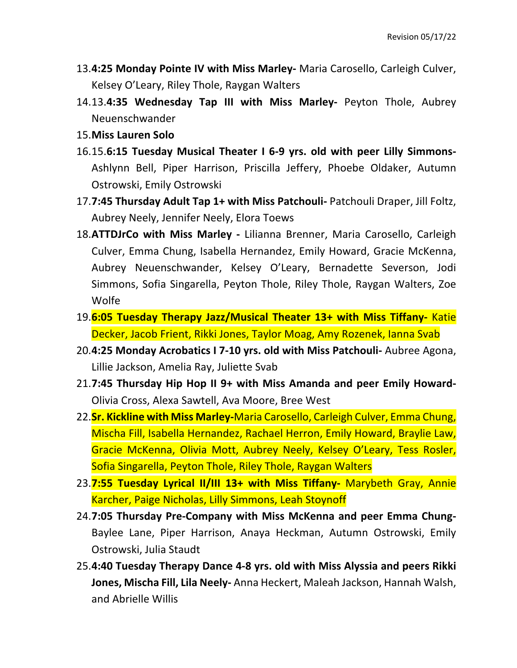- 13.**4:25 Monday Pointe IV with Miss Marley-** Maria Carosello, Carleigh Culver, Kelsey O'Leary, Riley Thole, Raygan Walters
- 14.13.**4:35 Wednesday Tap III with Miss Marley-** Peyton Thole, Aubrey Neuenschwander
- 15.**Miss Lauren Solo**
- 16.15.**6:15 Tuesday Musical Theater I 6-9 yrs. old with peer Lilly Simmons-**Ashlynn Bell, Piper Harrison, Priscilla Jeffery, Phoebe Oldaker, Autumn Ostrowski, Emily Ostrowski
- 17.**7:45 Thursday Adult Tap 1+ with Miss Patchouli-** Patchouli Draper, Jill Foltz, Aubrey Neely, Jennifer Neely, Elora Toews
- 18.**ATTDJrCo with Miss Marley -** Lilianna Brenner, Maria Carosello, Carleigh Culver, Emma Chung, Isabella Hernandez, Emily Howard, Gracie McKenna, Aubrey Neuenschwander, Kelsey O'Leary, Bernadette Severson, Jodi Simmons, Sofia Singarella, Peyton Thole, Riley Thole, Raygan Walters, Zoe Wolfe
- 19.**6:05 Tuesday Therapy Jazz/Musical Theater 13+ with Miss Tiffany-** Katie Decker, Jacob Frient, Rikki Jones, Taylor Moag, Amy Rozenek, Ianna Svab
- 20.**4:25 Monday Acrobatics I 7-10 yrs. old with Miss Patchouli-** Aubree Agona, Lillie Jackson, Amelia Ray, Juliette Svab
- 21.**7:45 Thursday Hip Hop II 9+ with Miss Amanda and peer Emily Howard-**Olivia Cross, Alexa Sawtell, Ava Moore, Bree West
- 22.**Sr. Kickline with Miss Marley-**Maria Carosello, Carleigh Culver, Emma Chung, Mischa Fill, Isabella Hernandez, Rachael Herron, Emily Howard, Braylie Law, Gracie McKenna, Olivia Mott, Aubrey Neely, Kelsey O'Leary, Tess Rosler, Sofia Singarella, Peyton Thole, Riley Thole, Raygan Walters
- 23.**7:55 Tuesday Lyrical II/III 13+ with Miss Tiffany-** Marybeth Gray, Annie Karcher, Paige Nicholas, Lilly Simmons, Leah Stoynoff
- 24.**7:05 Thursday Pre-Company with Miss McKenna and peer Emma Chung-**Baylee Lane, Piper Harrison, Anaya Heckman, Autumn Ostrowski, Emily Ostrowski, Julia Staudt
- 25.**4:40 Tuesday Therapy Dance 4-8 yrs. old with Miss Alyssia and peers Rikki Jones, Mischa Fill, Lila Neely-** Anna Heckert, Maleah Jackson, Hannah Walsh, and Abrielle Willis